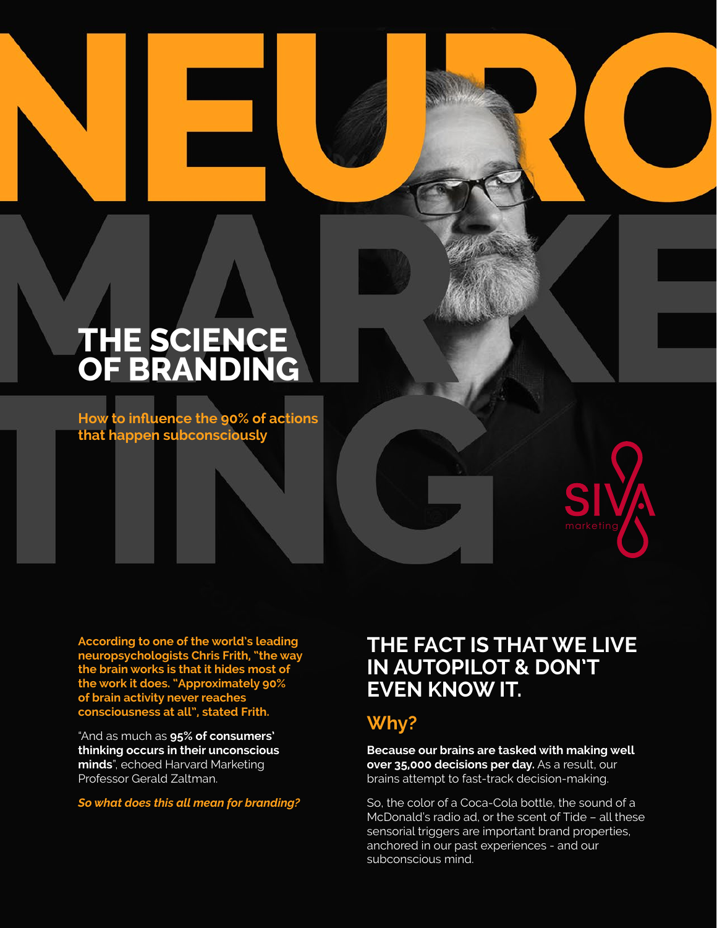# THE SCIENCE<br>
OF BRANDING **SCIENCE<br>
OF BRANDING**<br>
How to influence the 90% of actions<br>
that happen subconsciously<br> **Example 11 Analysis of actions THE SCIENCE OF BRANDING**

**How to influence the 90% of actions that happen subconsciously**

**According to one of the world's leading neuropsychologists Chris Frith, "the way the brain works is that it hides most of the work it does. "Approximately 90% of brain activity never reaches consciousness at all", stated Frith.**

"And as much as **95% of consumers' thinking occurs in their unconscious minds**", echoed Harvard Marketing Professor Gerald Zaltman.

*So what does this all mean for branding?*

### **THE FACT IS THAT WE LIVE IN AUTOPILOT & DON'T EVEN KNOW IT.**

#### **Why?**

**NEURO**

**Because our brains are tasked with making well over 35,000 decisions per day.** As a result, our brains attempt to fast-track decision-making.

So, the color of a Coca-Cola bottle, the sound of a McDonald's radio ad, or the scent of Tide – all these sensorial triggers are important brand properties, anchored in our past experiences - and our subconscious mind.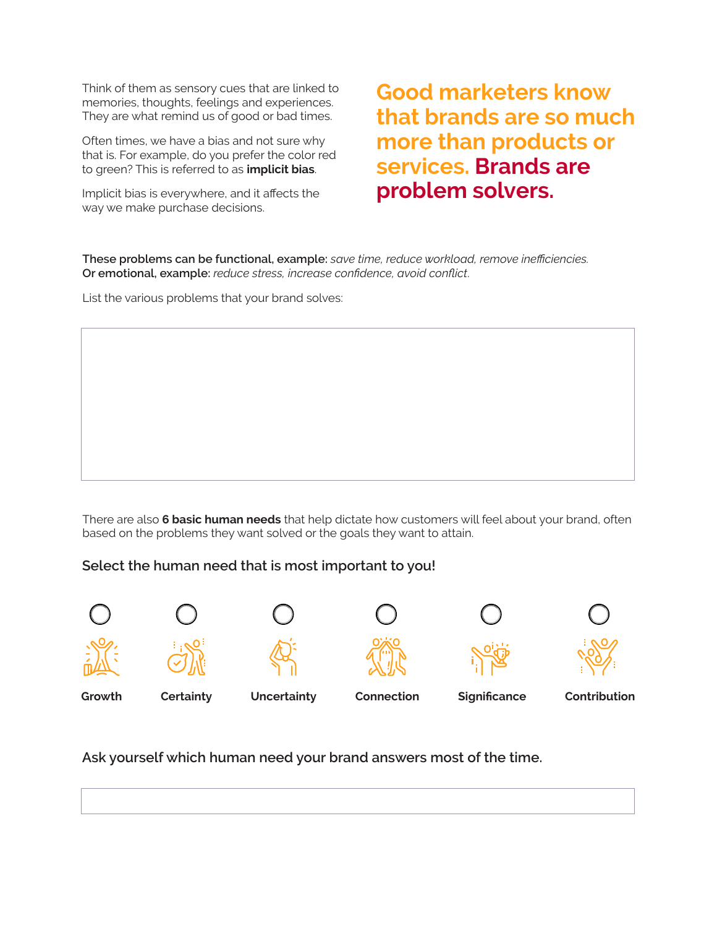Think of them as sensory cues that are linked to memories, thoughts, feelings and experiences. They are what remind us of good or bad times.

Often times, we have a bias and not sure why that is. For example, do you prefer the color red to green? This is referred to as **implicit bias**.

Implicit bias is everywhere, and it affects the way we make purchase decisions.

**Good marketers know that brands are so much more than products or services. Brands are problem solvers.**

**These problems can be functional, example:** *save time, reduce workload, remove inefficiencies.*  **Or emotional, example:** *reduce stress, increase confidence, avoid conflict*.

List the various problems that your brand solves:

There are also **6 basic human needs** that help dictate how customers will feel about your brand, often based on the problems they want solved or the goals they want to attain.

#### **Select the human need that is most important to you!**











**Ask yourself which human need your brand answers most of the time.**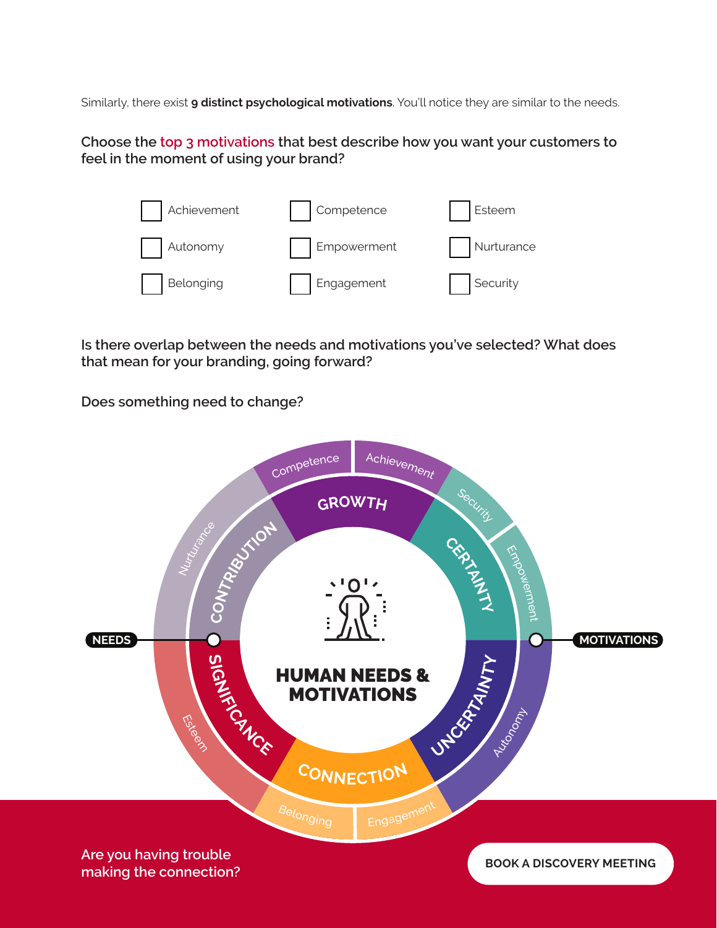Similarly, there exist **9 distinct psychological motivations**. You'll notice they are similar to the needs.

**Choose the top 3 motivations that best describe how you want your customers to feel in the moment of using your brand?**



**Is there overlap between the needs and motivations you've selected? What does that mean for your branding, going forward?**

**Does something need to change?**